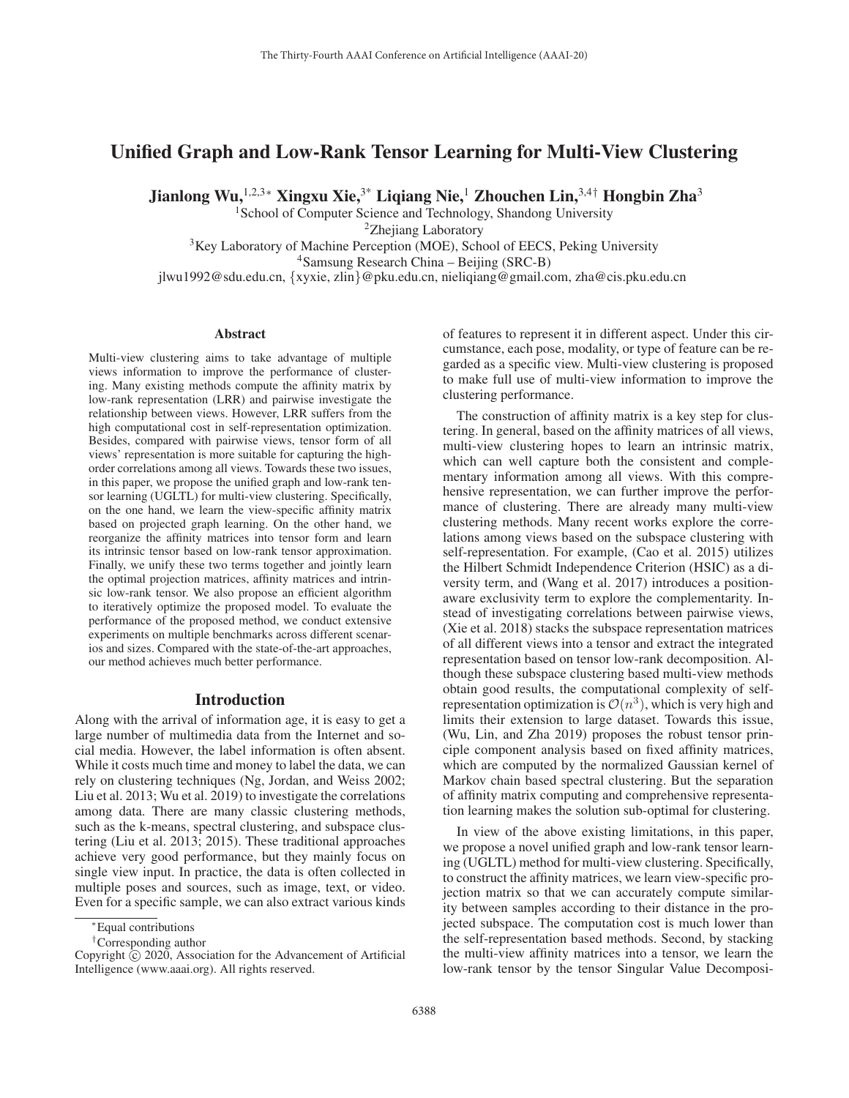# Unified Graph and Low-Rank Tensor Learning for Multi-View Clustering

Jianlong Wu,<sup>1,2,3</sup>\* Xingxu Xie,<sup>3\*</sup> Liqiang Nie,<sup>1</sup> Zhouchen Lin,<sup>3,4†</sup> Hongbin Zha<sup>3</sup>

<sup>1</sup>School of Computer Science and Technology, Shandong University

<sup>2</sup>Zhejiang Laboratory

<sup>3</sup>Key Laboratory of Machine Perception (MOE), School of EECS, Peking University

4Samsung Research China – Beijing (SRC-B)

jlwu1992@sdu.edu.cn, {xyxie, zlin}@pku.edu.cn, nieliqiang@gmail.com, zha@cis.pku.edu.cn

#### Abstract

Multi-view clustering aims to take advantage of multiple views information to improve the performance of clustering. Many existing methods compute the affinity matrix by low-rank representation (LRR) and pairwise investigate the relationship between views. However, LRR suffers from the high computational cost in self-representation optimization. Besides, compared with pairwise views, tensor form of all views' representation is more suitable for capturing the highorder correlations among all views. Towards these two issues, in this paper, we propose the unified graph and low-rank tensor learning (UGLTL) for multi-view clustering. Specifically, on the one hand, we learn the view-specific affinity matrix based on projected graph learning. On the other hand, we reorganize the affinity matrices into tensor form and learn its intrinsic tensor based on low-rank tensor approximation. Finally, we unify these two terms together and jointly learn the optimal projection matrices, affinity matrices and intrinsic low-rank tensor. We also propose an efficient algorithm to iteratively optimize the proposed model. To evaluate the performance of the proposed method, we conduct extensive experiments on multiple benchmarks across different scenarios and sizes. Compared with the state-of-the-art approaches, our method achieves much better performance.

# Introduction

Along with the arrival of information age, it is easy to get a large number of multimedia data from the Internet and social media. However, the label information is often absent. While it costs much time and money to label the data, we can rely on clustering techniques (Ng, Jordan, and Weiss 2002; Liu et al. 2013; Wu et al. 2019) to investigate the correlations among data. There are many classic clustering methods, such as the k-means, spectral clustering, and subspace clustering (Liu et al. 2013; 2015). These traditional approaches achieve very good performance, but they mainly focus on single view input. In practice, the data is often collected in multiple poses and sources, such as image, text, or video. Even for a specific sample, we can also extract various kinds of features to represent it in different aspect. Under this circumstance, each pose, modality, or type of feature can be regarded as a specific view. Multi-view clustering is proposed to make full use of multi-view information to improve the clustering performance.

The construction of affinity matrix is a key step for clustering. In general, based on the affinity matrices of all views, multi-view clustering hopes to learn an intrinsic matrix, which can well capture both the consistent and complementary information among all views. With this comprehensive representation, we can further improve the performance of clustering. There are already many multi-view clustering methods. Many recent works explore the correlations among views based on the subspace clustering with self-representation. For example, (Cao et al. 2015) utilizes the Hilbert Schmidt Independence Criterion (HSIC) as a diversity term, and (Wang et al. 2017) introduces a positionaware exclusivity term to explore the complementarity. Instead of investigating correlations between pairwise views, (Xie et al. 2018) stacks the subspace representation matrices of all different views into a tensor and extract the integrated representation based on tensor low-rank decomposition. Although these subspace clustering based multi-view methods obtain good results, the computational complexity of selfrepresentation optimization is  $\mathcal{O}(n^3)$ , which is very high and limits their extension to large dataset. Towards this issue, (Wu, Lin, and Zha 2019) proposes the robust tensor principle component analysis based on fixed affinity matrices, which are computed by the normalized Gaussian kernel of Markov chain based spectral clustering. But the separation of affinity matrix computing and comprehensive representation learning makes the solution sub-optimal for clustering.

In view of the above existing limitations, in this paper, we propose a novel unified graph and low-rank tensor learning (UGLTL) method for multi-view clustering. Specifically, to construct the affinity matrices, we learn view-specific projection matrix so that we can accurately compute similarity between samples according to their distance in the projected subspace. The computation cost is much lower than the self-representation based methods. Second, by stacking the multi-view affinity matrices into a tensor, we learn the low-rank tensor by the tensor Singular Value Decomposi-

<sup>∗</sup>Equal contributions

<sup>†</sup>Corresponding author

Copyright  $\odot$  2020, Association for the Advancement of Artificial Intelligence (www.aaai.org). All rights reserved.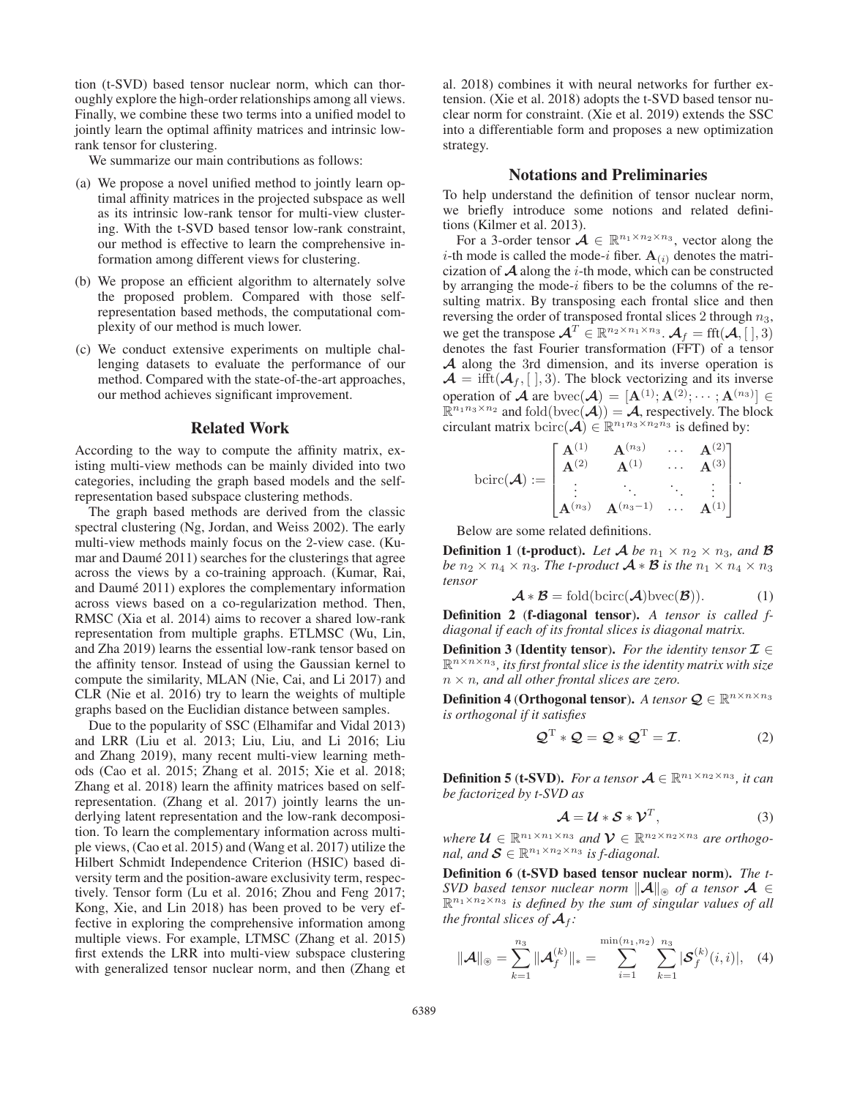tion (t-SVD) based tensor nuclear norm, which can thoroughly explore the high-order relationships among all views. Finally, we combine these two terms into a unified model to jointly learn the optimal affinity matrices and intrinsic lowrank tensor for clustering.

We summarize our main contributions as follows:

- (a) We propose a novel unified method to jointly learn optimal affinity matrices in the projected subspace as well as its intrinsic low-rank tensor for multi-view clustering. With the t-SVD based tensor low-rank constraint, our method is effective to learn the comprehensive information among different views for clustering.
- (b) We propose an efficient algorithm to alternately solve the proposed problem. Compared with those selfrepresentation based methods, the computational complexity of our method is much lower.
- (c) We conduct extensive experiments on multiple challenging datasets to evaluate the performance of our method. Compared with the state-of-the-art approaches, our method achieves significant improvement.

#### Related Work

According to the way to compute the affinity matrix, existing multi-view methods can be mainly divided into two categories, including the graph based models and the selfrepresentation based subspace clustering methods.

The graph based methods are derived from the classic spectral clustering (Ng, Jordan, and Weiss 2002). The early multi-view methods mainly focus on the 2-view case. (Kumar and Daumé 2011) searches for the clusterings that agree across the views by a co-training approach. (Kumar, Rai, and Daumé 2011) explores the complementary information across views based on a co-regularization method. Then, RMSC (Xia et al. 2014) aims to recover a shared low-rank representation from multiple graphs. ETLMSC (Wu, Lin, and Zha 2019) learns the essential low-rank tensor based on the affinity tensor. Instead of using the Gaussian kernel to compute the similarity, MLAN (Nie, Cai, and Li 2017) and CLR (Nie et al. 2016) try to learn the weights of multiple graphs based on the Euclidian distance between samples.

Due to the popularity of SSC (Elhamifar and Vidal 2013) and LRR (Liu et al. 2013; Liu, Liu, and Li 2016; Liu and Zhang 2019), many recent multi-view learning methods (Cao et al. 2015; Zhang et al. 2015; Xie et al. 2018; Zhang et al. 2018) learn the affinity matrices based on selfrepresentation. (Zhang et al. 2017) jointly learns the underlying latent representation and the low-rank decomposition. To learn the complementary information across multiple views, (Cao et al. 2015) and (Wang et al. 2017) utilize the Hilbert Schmidt Independence Criterion (HSIC) based diversity term and the position-aware exclusivity term, respectively. Tensor form (Lu et al. 2016; Zhou and Feng 2017; Kong, Xie, and Lin 2018) has been proved to be very effective in exploring the comprehensive information among multiple views. For example, LTMSC (Zhang et al. 2015) first extends the LRR into multi-view subspace clustering with generalized tensor nuclear norm, and then (Zhang et

al. 2018) combines it with neural networks for further extension. (Xie et al. 2018) adopts the t-SVD based tensor nuclear norm for constraint. (Xie et al. 2019) extends the SSC into a differentiable form and proposes a new optimization strategy.

## Notations and Preliminaries

To help understand the definition of tensor nuclear norm, we briefly introduce some notions and related definitions (Kilmer et al. 2013).

For a 3-order tensor  $A \in \mathbb{R}^{n_1 \times n_2 \times n_3}$ , vector along the *i*-th mode is called the mode-*i* fiber.  $A_{(i)}$  denotes the matricization of  $A$  along the *i*-th mode, which can be constructed by arranging the mode- $i$  fibers to be the columns of the resulting matrix. By transposing each frontal slice and then reversing the order of transposed frontal slices 2 through  $n_3$ , we get the transpose  $\mathcal{A}^T \in \mathbb{R}^{n_2 \times n_1 \times n_3}$ .  $\mathcal{A}_f = \text{fft}(\mathcal{A}, [0], 3)$ denotes the fast Fourier transformation (FFT) of a tensor *A* along the 3rd dimension, and its inverse operation is  $\mathcal{A} = \text{ifft}(\mathcal{A}_{f}, [0], 3)$ . The block vectorizing and its inverse operation of *A* are bvec(*A*) =  $[\mathbf{A}^{(1)}; \mathbf{A}^{(2)}; \cdots; \mathbf{A}^{(n_3)}] \in \mathbb{R}^{n_1 n_3 \times n_2}$  and fold(hvec(*A*)) = *A* respectively. The block  $\mathbb{R}^{n_1 n_3 \times n_2}$  and fold(bvec( $\mathcal{A}$ )) =  $\mathcal{A}$ , respectively. The block circulant matrix bcirc( $\mathcal{A}$ )  $\in \mathbb{R}^{n_1 n_3 \times n_2 n_3}$  is defined by:

$$
bcirc(\mathcal{A}) := \begin{bmatrix} \mathbf{A}^{(1)} & \mathbf{A}^{(n_3)} & \cdots & \mathbf{A}^{(2)} \\ \mathbf{A}^{(2)} & \mathbf{A}^{(1)} & \cdots & \mathbf{A}^{(3)} \\ \vdots & \ddots & \ddots & \vdots \\ \mathbf{A}^{(n_3)} & \mathbf{A}^{(n_3-1)} & \cdots & \mathbf{A}^{(1)} \end{bmatrix}.
$$

Below are some related definitions.

**Definition 1 (t-product).** Let  $\mathcal{A}$  be  $n_1 \times n_2 \times n_3$ , and  $\mathcal{B}$ *be*  $n_2 \times n_4 \times n_3$ *. The t-product*  $\mathcal{A} * \mathcal{B}$  *is the*  $n_1 \times n_4 \times n_3$ *tensor*

$$
\mathcal{A} * \mathcal{B} = \text{fold}(\text{bcirc}(\mathcal{A})\text{bvec}(\mathcal{B})).
$$
 (1)

Definition 2 (f-diagonal tensor). *A tensor is called fdiagonal if each of its frontal slices is diagonal matrix.*

**Definition 3 (Identity tensor).** *For the identity tensor*  $\mathcal{I} \in$  $\mathbb{R}^{n \times n \times n_3}$ , its first frontal slice is the identity matrix with size n × n*, and all other frontal slices are zero.*

**Definition 4 (Orthogonal tensor).** *A tensor*  $\mathbf{Q} \in \mathbb{R}^{n \times n \times n_3}$ *is orthogonal if it satisfies*

$$
\mathcal{Q}^{\mathrm{T}} * \mathcal{Q} = \mathcal{Q} * \mathcal{Q}^{\mathrm{T}} = \mathcal{I}.
$$
 (2)

**Definition 5 (t-SVD).** *For a tensor*  $A \in \mathbb{R}^{n_1 \times n_2 \times n_3}$ *, it can be factorized by t-SVD as*

$$
\mathcal{A} = \mathcal{U} * \mathcal{S} * \mathcal{V}^T, \tag{3}
$$

*where*  $\mathcal{U} \in \mathbb{R}^{n_1 \times n_1 \times n_3}$  *and*  $\mathcal{V} \in \mathbb{R}^{n_2 \times n_2 \times n_3}$  *are orthogonal, and*  $S \in \mathbb{R}^{n_1 \times n_2 \times n_3}$  *is f-diagonal.* 

Definition 6 (t-SVD based tensor nuclear norm). *The t-SVD based tensor nuclear norm*  $||A||_{\otimes}$  *of a tensor*  $A \in$  $\mathbb{R}^{n_1 \times n_2 \times n_3}$  *is defined by the sum of singular values of all the frontal slices of*  $A_f$ *:* 

$$
\|\mathcal{A}\|_{\circledast} = \sum_{k=1}^{n_3} \|\mathcal{A}_f^{(k)}\|_{*} = \sum_{i=1}^{\min(n_1, n_2)} \sum_{k=1}^{n_3} |\mathcal{S}_f^{(k)}(i, i)|, \quad (4)
$$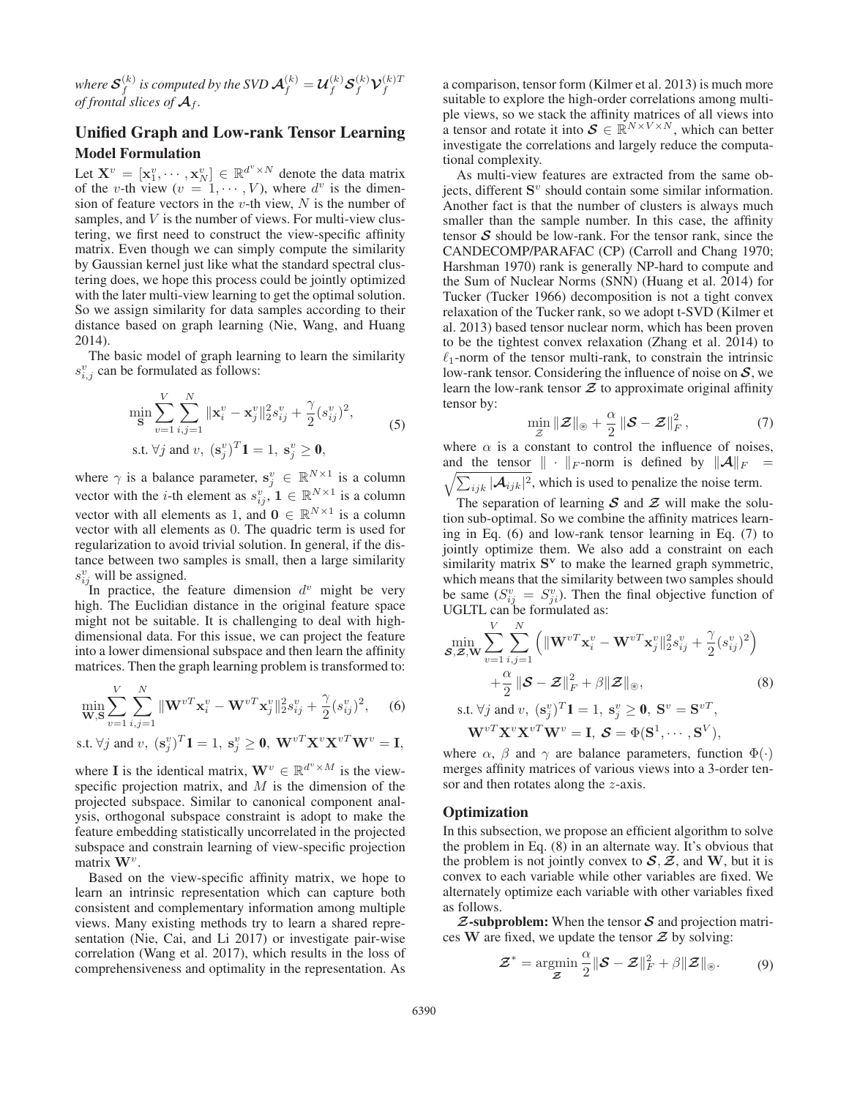where  ${\cal S}_f^{(k)}$  is computed by the SVD  ${\cal A}_f^{(k)}={\cal U}_f^{(k)}{\cal S}_f^{(k)}{\cal V}_f^{(k)T}$ *of frontal slices of*  $\mathcal{A}_f$ *.* 

# Unified Graph and Low-rank Tensor Learning Model Formulation

Let  $\mathbf{X}^v = [\mathbf{x}_1^v, \cdots, \mathbf{x}_N^v] \in \mathbb{R}^{d^v \times N}$  denote the data matrix of the *v*-th view  $(v = 1, \cdots, V)$  where  $d^v$  is the dimenof the v-th view  $(v = 1, \dots, V)$ , where  $d^v$  is the dimension of feature vectors in the v-th view,  $N$  is the number of samples, and V is the number of views. For multi-view clustering, we first need to construct the view-specific affinity matrix. Even though we can simply compute the similarity by Gaussian kernel just like what the standard spectral clustering does, we hope this process could be jointly optimized with the later multi-view learning to get the optimal solution. So we assign similarity for data samples according to their distance based on graph learning (Nie, Wang, and Huang 2014).

The basic model of graph learning to learn the similarity  $s_{i,j}^v$  can be formulated as follows:

$$
\min_{\mathbf{S}} \sum_{v=1}^{V} \sum_{i,j=1}^{N} ||\mathbf{x}_{i}^{v} - \mathbf{x}_{j}^{v}||_{2}^{2} s_{ij}^{v} + \frac{\gamma}{2} (s_{ij}^{v})^{2},
$$
\n
$$
\text{s.t. } \forall j \text{ and } v, \ (\mathbf{s}_{j}^{v})^{T} \mathbf{1} = 1, \ \mathbf{s}_{j}^{v} \ge \mathbf{0},
$$
\n
$$
(5)
$$

where  $\gamma$  is a balance parameter,  $\mathbf{s}_j^v \in \mathbb{R}^{N \times 1}$  is a column<br>wester with the *i*-th element as  $s_j^v \in \mathbb{R}^{N \times 1}$  is a solumn vector with the *i*-th element as  $s_{ij}^v$ ,  $\mathbf{1} \in \mathbb{R}^{N \times 1}$  is a column<br>vector with all alaments as 1 and  $\mathbf{0} \in \mathbb{R}^{N \times 1}$  is a solumn vector with all elements as 1, and  $\mathbf{0} \in \mathbb{R}^{N \times 1}$  is a column vector with all elements as 0. The quadric term is used for regularization to avoid trivial solution. In general, if the distance between two samples is small, then a large similarity  $s_{ij}^v$  will be assigned.

In practice, the feature dimension  $d^v$  might be very high. The Euclidian distance in the original feature space might not be suitable. It is challenging to deal with highdimensional data. For this issue, we can project the feature into a lower dimensional subspace and then learn the affinity matrices. Then the graph learning problem is transformed to:

$$
\min_{\mathbf{W}, \mathbf{S}} \sum_{v=1}^{V} \sum_{i,j=1}^{N} \|\mathbf{W}^{vT}\mathbf{x}_{i}^{v} - \mathbf{W}^{vT}\mathbf{x}_{j}^{v}\|_{2}^{2} s_{ij}^{v} + \frac{\gamma}{2} (s_{ij}^{v})^{2}, \quad (6)
$$

s.t. 
$$
\forall j
$$
 and  $v$ ,  $(\mathbf{s}_j^v)^T \mathbf{1} = 1$ ,  $\mathbf{s}_j^v \geq \mathbf{0}$ ,  $\mathbf{W}^{vT} \mathbf{X}^v \mathbf{X}^{vT} \mathbf{W}^v = \mathbf{I}$ ,

where **I** is the identical matrix,  $\mathbf{W}^v \in \mathbb{R}^{d^v \times M}$  is the viewspecific projection matrix, and  $M$  is the dimension of the projected subspace. Similar to canonical component analysis, orthogonal subspace constraint is adopt to make the feature embedding statistically uncorrelated in the projected subspace and constrain learning of view-specific projection matrix **<sup>W</sup>**<sup>v</sup>.

Based on the view-specific affinity matrix, we hope to learn an intrinsic representation which can capture both consistent and complementary information among multiple views. Many existing methods try to learn a shared representation (Nie, Cai, and Li 2017) or investigate pair-wise correlation (Wang et al. 2017), which results in the loss of comprehensiveness and optimality in the representation. As

a comparison, tensor form (Kilmer et al. 2013) is much more suitable to explore the high-order correlations among multiple views, so we stack the affinity matrices of all views into a tensor and rotate it into  $S \in \mathbb{R}^{N \times V \times N}$ , which can better investigate the correlations and largely reduce the computational complexity.

As multi-view features are extracted from the same objects, different **<sup>S</sup>**<sup>v</sup> should contain some similar information. Another fact is that the number of clusters is always much smaller than the sample number. In this case, the affinity tensor *S* should be low-rank. For the tensor rank, since the CANDECOMP/PARAFAC (CP) (Carroll and Chang 1970; Harshman 1970) rank is generally NP-hard to compute and the Sum of Nuclear Norms (SNN) (Huang et al. 2014) for Tucker (Tucker 1966) decomposition is not a tight convex relaxation of the Tucker rank, so we adopt t-SVD (Kilmer et al. 2013) based tensor nuclear norm, which has been proven to be the tightest convex relaxation (Zhang et al. 2014) to  $\ell_1$ -norm of the tensor multi-rank, to constrain the intrinsic low-rank tensor. Considering the influence of noise on *S*, we learn the low-rank tensor  $Z$  to approximate original affinity tensor by:

$$
\min_{\mathcal{Z}} \|\mathcal{Z}\|_{\circledast} + \frac{\alpha}{2} \|\mathcal{S} - \mathcal{Z}\|_{F}^{2}, \tag{7}
$$

where  $\alpha$  is a constant to control the influence of noises, and the tensor  $\|\cdot\|_F$ -norm is defined by  $\|\mathcal{A}\|_F =$  $\sqrt{\sum_{ijk} |\mathcal{A}_{ijk}|^2}$ , which is used to penalize the noise term.

The separation of learning  $S$  and  $Z$  will make the solution sub-optimal. So we combine the affinity matrices learning in Eq. (6) and low-rank tensor learning in Eq. (7) to jointly optimize them. We also add a constraint on each similarity matrix **<sup>S</sup><sup>v</sup>** to make the learned graph symmetric, which means that the similarity between two samples should be same  $(S_{ii}^v = S_{ii}^v)$ . Then the final objective function of UGLTL can be formulated as:

$$
\min_{\mathcal{S},\mathcal{Z},\mathbf{W}} \sum_{v=1}^{V} \sum_{i,j=1}^{N} \left( \|\mathbf{W}^{vT}\mathbf{x}_{i}^{v} - \mathbf{W}^{vT}\mathbf{x}_{j}^{v}\|_{2}^{2} s_{ij}^{v} + \frac{\gamma}{2} (s_{ij}^{v})^{2} \right) \n+ \frac{\alpha}{2} \|\mathcal{S} - \mathcal{Z}\|_{F}^{2} + \beta \|\mathcal{Z}\|_{\circledast},
$$
\n8.  
\n8.  
\n8.  
\n8.  
\n8.  
\n8.  
\n8.  
\n9.  
\n18.  
\n19.  
\n19.  
\n10.  
\n11.  
\n11.  
\n12.  
\n13.  
\n15.  
\n16.  
\n18.  
\n19.  
\n19.  
\n10.  
\n11.  
\n19.  
\n10.  
\n11.  
\n11.  
\n12.  
\n13.  
\n14.  
\n15.  
\n16.  
\n19.  
\n19.  
\n10.  
\n11.  
\n19.  
\n10.  
\n11.  
\n11.  
\n12.  
\n13.  
\n14.  
\n15.  
\n16.  
\n17.  
\n19.  
\n19.  
\n10.  
\n11.  
\n11.  
\n12.  
\n13.  
\n15.  
\n16.  
\n19.  
\n19.  
\n10.  
\n11.  
\n11.  
\n12.  
\n13.  
\n15.  
\n16.  
\n19.  
\n19.  
\n10.  
\n11.  
\n19.  
\n10.  
\n11.  
\n11.  
\n12.  
\n13.  
\n14.  
\n15.  
\n16.  
\n19.  
\n19.  
\n10.  
\n11.  
\n12.  
\n13.  
\n14.  
\n15.  
\n16.  
\n17.  
\n19.  
\n19.  
\n10.  
\n10.  
\n11.  
\n12.  
\n13.  
\n14.  
\n15.  
\n16.  
\n17.  
\n19.  
\

merges affinity matrices of various views into a 3-order tensor and then rotates along the z-axis.

## **Optimization**

In this subsection, we propose an efficient algorithm to solve the problem in Eq. (8) in an alternate way. It's obvious that the problem is not jointly convex to  $S$ ,  $\mathcal{Z}$ , and **W**, but it is convex to each variable while other variables are fixed. We alternately optimize each variable with other variables fixed as follows.

*Z*-subproblem: When the tensor *S* and projection matrices **W** are fixed, we update the tensor  $\mathcal{Z}$  by solving:

$$
\mathcal{Z}^* = \underset{\mathcal{Z}}{\operatorname{argmin}} \frac{\alpha}{2} \|\mathcal{S} - \mathcal{Z}\|_F^2 + \beta \|\mathcal{Z}\|_{\circledast}.
$$
 (9)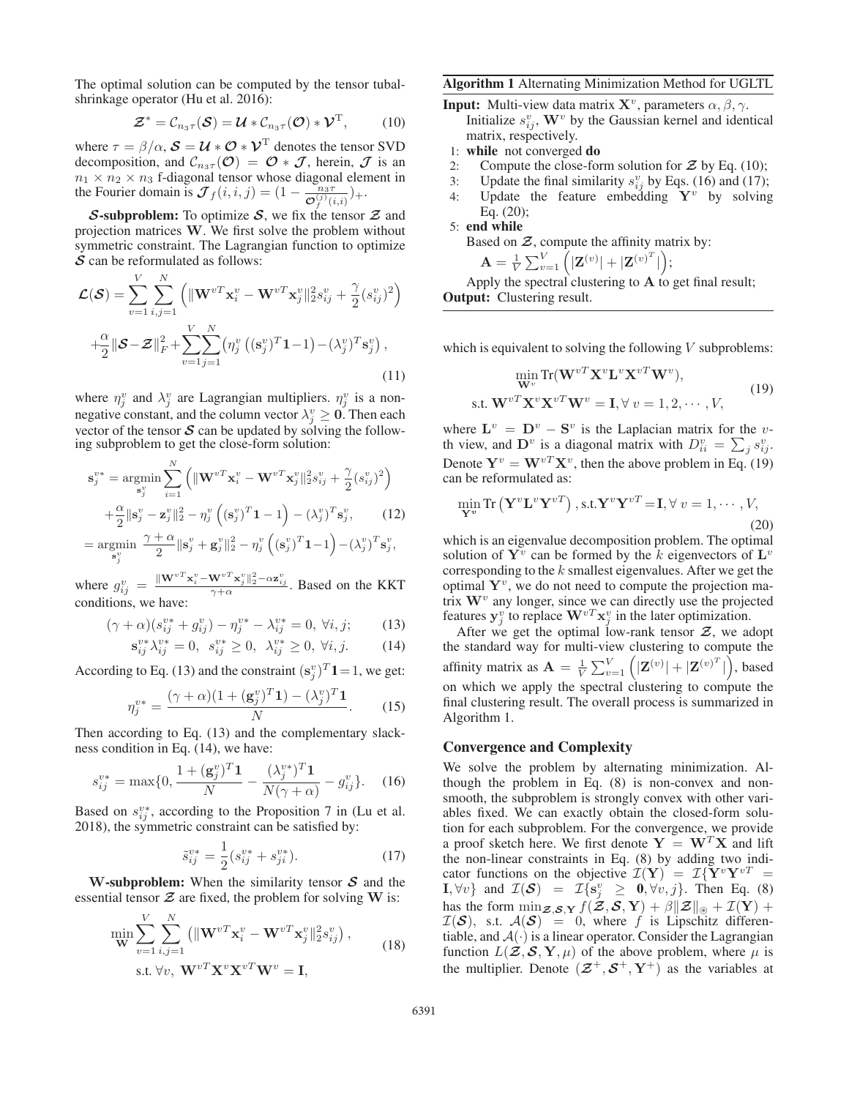The optimal solution can be computed by the tensor tubalshrinkage operator (Hu et al. 2016):

$$
\mathcal{Z}^* = \mathcal{C}_{n_3 \tau}(\mathcal{S}) = \mathcal{U} * \mathcal{C}_{n_3 \tau}(\mathcal{O}) * \mathcal{V}^{\mathrm{T}}, \qquad (10)
$$

where  $\tau = \beta/\alpha$ ,  $\mathcal{S} = \mathcal{U} * \mathcal{O} * \mathcal{V}^T$  denotes the tensor SVD decomposition, and  $\mathcal{C}_{n_3\tau}(\mathcal{O}) = \mathcal{O} * \mathcal{J}$ , herein,  $\mathcal{J}$  is an  $n_1 \times n_2 \times n_3$  f-diagonal tensor whose diagonal element in the Fourier domain is  $\mathcal{J}_f(i, i, j) = (1 - \frac{n_3 \tau}{\mathcal{O}_f^{(j)}(i, i)}) +$ .

*S*-subproblem: To optimize *S*, we fix the tensor *Z* and projection matrices **W**. We first solve the problem without symmetric constraint. The Lagrangian function to optimize *S* can be reformulated as follows:

$$
\mathcal{L}(\mathcal{S}) = \sum_{v=1}^{V} \sum_{i,j=1}^{N} \left( \|\mathbf{W}^{vT}\mathbf{x}_i^v - \mathbf{W}^{vT}\mathbf{x}_j^v\|_2^2 s_{ij}^v + \frac{\gamma}{2} (s_{ij}^v)^2 \right)
$$

$$
+ \frac{\alpha}{2} \|\mathcal{S} - \mathcal{Z}\|_F^2 + \sum_{v=1}^{V} \sum_{j=1}^{N} \left( \eta_j^v \left( (\mathbf{s}_j^v)^T \mathbf{1} - 1 \right) - (\lambda_j^v)^T \mathbf{s}_j^v \right), \tag{11}
$$

where  $\eta_i^v$  and  $\lambda_i^v$  are Lagrangian multipliers.  $\eta_i^v$  is a nonnegative constant, and the column vector  $\lambda_j^v \geq 0$ . Then each vector of the tensor **S** can be undated by solving the followvector of the tensor  $S$  can be updated by solving the following subproblem to get the close-form solution:

$$
\mathbf{s}_{j}^{v*} = \underset{\mathbf{s}_{j}^{v}}{\operatorname{argmin}} \sum_{i=1}^{N} \left( \|\mathbf{W}^{vT}\mathbf{x}_{i}^{v} - \mathbf{W}^{vT}\mathbf{x}_{j}^{v}\|_{2}^{2} s_{ij}^{v} + \frac{\gamma}{2} (s_{ij}^{v})^{2} \right) + \frac{\alpha}{2} \|\mathbf{s}_{j}^{v} - \mathbf{z}_{j}^{v}\|_{2}^{2} - \eta_{j}^{v} \left( (\mathbf{s}_{j}^{v})^{T} \mathbf{1} - 1 \right) - (\lambda_{j}^{v})^{T} \mathbf{s}_{j}^{v}, \qquad (12)
$$

$$
= \underset{\mathbf{s}_j^v}{\text{argmin}} \ \frac{\gamma + \alpha}{2} \|\mathbf{s}_j^v + \mathbf{g}_j^v\|_2^2 - \eta_j^v \left( (\mathbf{s}_j^v)^T \mathbf{1} - 1 \right) - (\lambda_j^v)^T \mathbf{s}_j^v,
$$

where  $g_{ij}^v = \frac{\|\mathbf{W}^{vT} \mathbf{x}_i^v - \mathbf{W}^{vT} \mathbf{x}_j^v\|_2^2 - \alpha \mathbf{z}_{ij}^v}{\gamma + \alpha}$ . Based on the KKT conditions, we have:

$$
(\gamma + \alpha)(s_{ij}^{v*} + g_{ij}^v) - \eta_j^{v*} - \lambda_{ij}^{v*} = 0, \ \forall i, j; \tag{13}
$$

$$
\mathbf{s}_{ij}^{v*} \lambda_{ij}^{v*} = 0, \ \ s_{ij}^{v*} \ge 0, \ \ \lambda_{ij}^{v*} \ge 0, \ \ \forall i, j. \tag{14}
$$

According to Eq. (13) and the constraint  $(\mathbf{s}_j^v)^T \mathbf{1} = 1$ , we get:

$$
\eta_j^{v*} = \frac{(\gamma + \alpha)(1 + (\mathbf{g}_j^v)^T \mathbf{1}) - (\lambda_j^v)^T \mathbf{1}}{N}.
$$
 (15)

Then according to Eq. (13) and the complementary slackness condition in Eq. (14), we have:

$$
s_{ij}^{v*} = \max\{0, \frac{1 + (\mathbf{g}_j^v)^T \mathbf{1}}{N} - \frac{(\lambda_j^{v*})^T \mathbf{1}}{N(\gamma + \alpha)} - g_{ij}^v\}.
$$
 (16)

Based on  $s_{ij}^{v*}$ , according to the Proposition 7 in (Lu et al. 2018), the symmetric constraint can be satisfied by:

$$
\tilde{s}_{ij}^{v*} = \frac{1}{2} (s_{ij}^{v*} + s_{ji}^{v*}).
$$
\n(17)

**W**-subproblem: When the similarity tensor *<sup>S</sup>* and the essential tensor  $Z$  are fixed, the problem for solving  $W$  is:

$$
\min_{\mathbf{W}} \sum_{v=1}^{V} \sum_{i,j=1}^{N} \left( \|\mathbf{W}^{vT}\mathbf{x}_{i}^{v} - \mathbf{W}^{vT}\mathbf{x}_{j}^{v}\|_{2}^{2} s_{ij}^{v} \right),
$$
\n
$$
\text{s.t. } \forall v, \ \mathbf{W}^{vT}\mathbf{X}^{v}\mathbf{X}^{vT}\mathbf{W}^{v} = \mathbf{I},
$$
\n(18)

#### Algorithm 1 Alternating Minimization Method for UGLTL

- **Input:** Multi-view data matrix  $X^{\nu}$ , parameters  $\alpha, \beta, \gamma$ . Initialize  $s_{ij}^v$ ,  $\mathbf{W}^v$  by the Gaussian kernel and identical matrix respectively matrix, respectively.
- 1: while not converged do
- 2: Compute the close-form solution for  $\mathcal Z$  by Eq. (10);<br>3: Update the final similarity  $s_{xx}^v$  by Eqs. (16) and (17);
- 3: Update the final similarity  $s_{ii}^v$  by Eqs. (16) and (17);
- 4: Update the feature embedding  $Y^v$  by solving Eq. (20);

5: end while Based on *Z*, compute the affinity matrix by:

$$
\mathbf{A} = \frac{1}{V} \sum_{v=1}^{V} \left( |\mathbf{Z}^{(v)}| + |\mathbf{Z}^{(v)^{T}}| \right);
$$

Apply the spectral clustering to **A** to get final result;<br>**put:** Clustering result Output: Clustering result.

which is equivalent to solving the following  $V$  subproblems:

$$
\min_{\mathbf{W}^v} \text{Tr}(\mathbf{W}^{vT} \mathbf{X}^v \mathbf{L}^v \mathbf{X}^{vT} \mathbf{W}^v),
$$
  
s.t. 
$$
\mathbf{W}^{vT} \mathbf{X}^v \mathbf{X}^{vT} \mathbf{W}^v = \mathbf{I}, \forall v = 1, 2, \cdots, V,
$$
 (19)

where  $\mathbf{L}^v = \mathbf{D}^v - \mathbf{S}^v$  is the Laplacian matrix for the vth view, and  $\mathbf{D}^v$  is a diagonal matrix with  $D_{ii}^v = \sum_j s_{ij}^v$ .<br> **Dogethof**  $\mathbf{V}^v = \mathbf{W}^v \mathbf{V}^v$  then the chase matrix in Eq. (10) Denote  $Y^v = W^{vT} X^v$ , then the above problem in Eq. (19) can be reformulated as:

$$
\min_{\mathbf{Y}^v} \text{Tr}\left(\mathbf{Y}^v \mathbf{L}^v \mathbf{Y}^{vT}\right), \text{s.t.} \mathbf{Y}^v \mathbf{Y}^{vT} = \mathbf{I}, \forall v = 1, \cdots, V,
$$
\n(20)

which is an eigenvalue decomposition problem. The optimal solution of  $Y^v$  can be formed by the k eigenvectors of  $L^v$ corresponding to the  $k$  smallest eigenvalues. After we get the optimal  $\mathbf{Y}^v$ , we do not need to compute the projection matrix **<sup>W</sup>**<sup>v</sup> any longer, since we can directly use the projected features  $\mathbf{y}_j^v$  to replace  $\mathbf{W}^{vT} \mathbf{x}_j^v$  in the later optimization.<br>After we get the optimal low-rank tensor  $\mathcal{Z}$ , we as

After we get the optimal low-rank tensor  $Z$ , we adopt the standard way for multi-view clustering to compute the affinity matrix as  $\mathbf{A} = \frac{1}{V} \sum_{v=1}^{V} (|\mathbf{Z}^{(v)}| + |\mathbf{Z}^{(v)}|^T)$ , based on which we apply the spectral clustering to compute the final clustering result. The overall process is summarized in Algorithm 1.

## Convergence and Complexity

We solve the problem by alternating minimization. Although the problem in Eq. (8) is non-convex and nonsmooth, the subproblem is strongly convex with other variables fixed. We can exactly obtain the closed-form solution for each subproblem. For the convergence, we provide a proof sketch here. We first denote  $Y = W^T X$  and lift the non-linear constraints in Eq. (8) by adding two indicator functions on the objective  $\mathcal{I}(\mathbf{Y}) = \mathcal{I}\{\mathbf{Y}^v\mathbf{Y}^{vT} =$ **I**,  $\forall v$ } and  $\mathcal{I}(\mathcal{S}) = \mathcal{I}\{\mathbf{s}_j^v \geq \mathbf{0}, \forall v, j\}$ . Then Eq. (8) has the form  $\min_{\mathbf{Z},\mathbf{S},\mathbf{Y}} f(\mathbf{Z},\mathbf{S},\mathbf{Y}) + \beta ||\mathbf{Z}||_{\mathcal{B}} + \mathcal{I}(\mathbf{Y}) +$ <br>  $\mathcal{I}(\mathbf{S})$  st  $A(\mathbf{S}) = 0$  where f is Linschitz differen- $\mathcal{I}(\mathcal{S})$ , s.t.  $\mathcal{A}(\mathcal{S})=0$ , where f is Lipschitz differentiable, and  $A(\cdot)$  is a linear operator. Consider the Lagrangian function  $L(\mathcal{Z}, \mathcal{S}, \mathbf{Y}, \mu)$  of the above problem, where  $\mu$  is the multiplier. Denote  $(\mathbf{Z}^+, \mathbf{S}^+, \mathbf{Y}^+)$  as the variables at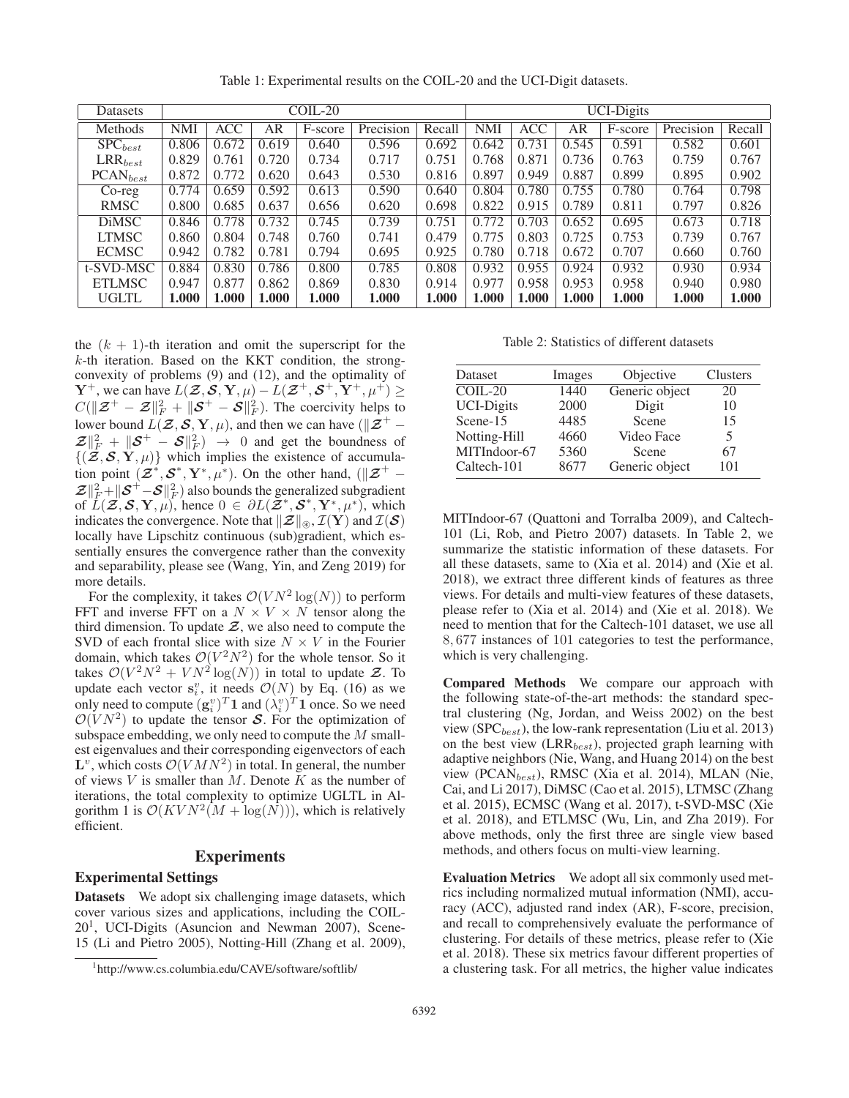Datasets COIL-20 UCI-Digits Methods | NMI | ACC | AR | F-score | Precision | Recall | NMI | ACC | AR | F-score | Precision | Recall  $\mathrm{SPC}_{best}$   $\mid$   $0.806$   $\mid$   $0.672$   $\mid$   $0.619$   $\mid$   $\mid$   $0.596$   $\mid$   $0.692$   $\mid$   $0.642$   $\mid$   $0.731$   $\mid$   $0.545$   $\mid$   $\mid$   $0.582$   $\mid$   $0.601$  $\text{LRR}_{best}$   $\mid$   $0.829$   $\mid$   $0.761$   $\mid$   $0.720$   $\mid$   $\mid$   $0.734$   $\mid$   $\mid$   $0.751$   $\mid$   $0.768$   $\mid$   $0.871$   $\mid$   $0.736$   $\mid$   $\mid$   $0.763$   $\mid$   $\mid$   $0.759$   $\mid$   $0.767$  $\text{PCAN}_{best}$   $\mid$   $0.872$   $\mid$   $0.772$   $\mid$   $0.620$   $\mid$   $\mid$   $0.643$   $\mid$   $\mid$   $0.530$   $\mid$   $0.897$   $\mid$   $0.949$   $\mid$   $0.887$   $\mid$   $0.899$   $\mid$   $\mid$   $0.895$   $\mid$   $0.902$  $\text{Co-reg}$   $\mid$   $0.774$   $\mid$   $0.659$   $\mid$   $0.592$   $\mid$   $0.613$   $\mid$   $\mid$   $0.590$   $\mid$   $0.640$   $\mid$   $0.780$   $\mid$   $0.755$   $\mid$   $0.780$   $\mid$   $\mid$   $0.764$   $\mid$   $0.798$ RMSC 0.800 0.685 0.637 0.656 0.620 0.698 0.822 0.915 0.789 0.811 0.797 0.826 DiMSC 0.846 0.778 0.732 0.745 0.739 0.751 0.772 0.703 0.652 0.695 0.673 0.718 LTMSC 0.860 0.804 0.748 0.760 0.741 0.479 0.775 0.803 0.725 0.753 0.739 0.767 ECMSC | 0.942 | 0.782 | 0.781 | 0.794 | 0.695 | 0.925 | 0.780 | 0.718 | 0.672 | 0.707 | 0.660 | 0.760 t-SVD-MSC | 0.884 | 0.830 | 0.786 | 0.800 | 0.785 | 0.808 | 0.932 | 0.925 | 0.924 | 0.932 | 0.930 | 0.934 ETLMSC | 0.947 | 0.877 | 0.862 | 0.869 | 0.830 | 0.914 | 0.977 | 0.958 | 0.953 | 0.958 | 0.940 | 0.980  $\text{UGLTL} \quad | \; 1.000 \; | \; 1.000 \; | \; \; 1.000 \; \; | \; \; 1.000 \; \; | \; \; 1.000 \; \; | \; \; 1.000 \; \; | \; \; 1.000 \; \; | \; \; 1.000 \; \; | \; \; 1.000 \; \; | \; \; 1.000 \; \; | \; \; 1.000$ 

Table 1: Experimental results on the COIL-20 and the UCI-Digit datasets.

the  $(k + 1)$ -th iteration and omit the superscript for the  $k$ -th iteration. Based on the KKT condition, the strongconvexity of problems (9) and (12), and the optimality of **Y**<sup>+</sup>, we can have  $L(\mathcal{Z}, \mathcal{S}, \mathbf{Y}, \mu) - L(\mathcal{Z}^+, \mathcal{S}^+, \mathbf{Y}^+, \mu^+) \geq$  $C(\|\mathcal{Z}^+ - \mathcal{Z}\|_F^2 + \|\mathcal{S}^+ - \mathcal{S}\|_F^2)$ . The coercivity helps to lower bound  $L(\mathcal{Z}, \mathcal{S}, \mathbf{Y}, \mu)$ , and then we can have ( $||\mathcal{Z}^+ \mathcal{Z} \Vert_F^2 + \Vert S^+ - S \Vert_F^2$   $\to 0$  and get the boundness of  $\{(\mathcal{Z}, \mathcal{S}, \mathbf{Y}, \mu)\}\$  which implies the existence of accumulation point  $(\mathbf{Z}^*, \mathbf{S}^*, \mathbf{Y}^*, \mu^*)$ . On the other hand,  $(\mathbf{Z}^+$  –  $\mathcal{Z} \Vert_F^2 + \Vert \mathcal{S}^+ - \mathcal{S} \Vert_F^2$  ) also bounds the generalized subgradient of  $\bar{L}(\mathcal{Z}, \mathcal{S}, \mathbf{Y}, \mu)$ , hence  $0 \in \partial L(\mathcal{Z}^*, \mathcal{S}^*, \mathbf{Y}^*, \mu^*)$ , which indicates the convergence. Note that  $\|\mathcal{Z}\|_{\circledast}$ ,  $\mathcal{I}(\mathbf{Y})$  and  $\mathcal{I}(\mathcal{S})$  locally have Linschitz continuous (sub)pradient which eslocally have Lipschitz continuous (sub)gradient, which essentially ensures the convergence rather than the convexity and separability, please see (Wang, Yin, and Zeng 2019) for more details.

For the complexity, it takes  $\mathcal{O}(VN^2 \log(N))$  to perform FFT and inverse FFT on a  $N \times V \times N$  tensor along the third dimension. To update  $Z$ , we also need to compute the SVD of each frontal slice with size  $N \times V$  in the Fourier domain, which takes  $\mathcal{O}(V^2N^2)$  for the whole tensor. So it takes  $\mathcal{O}(V^2 N^2 + V N^2 \log(N))$  in total to update  $\mathcal{Z}$ . To update each vector  $\mathbf{s}_i^v$ , it needs  $\mathcal{O}(N)$  by Eq. (16) as we need only need to compute  $(g_i^v)^T 1$  and  $(\lambda_i^v)^T 1$  once. So we need  $\mathcal{O}(VN^2)$  to undate the tensor **S**. For the optimization of  $\mathcal{O}(VN^2)$  to update the tensor S. For the optimization of subspace embedding, we only need to compute the M smallest eigenvalues and their corresponding eigenvectors of each  $\mathbf{L}^v$ , which costs  $\mathcal{O}(VMN^2)$  in total. In general, the number of views  $V$  is smaller than  $M$ . Denote  $K$  as the number of iterations, the total complexity to optimize UGLTL in Algorithm 1 is  $\mathcal{O}(KVN^2(M + \log(N)))$ , which is relatively efficient.

# **Experiments**

### Experimental Settings

Datasets We adopt six challenging image datasets, which cover various sizes and applications, including the COIL- $20<sup>1</sup>$ , UCI-Digits (Asuncion and Newman 2007), Scene-15 (Li and Pietro 2005), Notting-Hill (Zhang et al. 2009),

Table 2: Statistics of different datasets

| Images | Objective      | Clusters       |
|--------|----------------|----------------|
| 1440   |                | 20             |
| 2000   | Digit          | 10             |
| 4485   | Scene          | 15             |
| 4660   | Video Face     | 5              |
| 5360   | Scene          | 67             |
| 8677   | Generic object | 101            |
|        |                | Generic object |

MITIndoor-67 (Quattoni and Torralba 2009), and Caltech-101 (Li, Rob, and Pietro 2007) datasets. In Table 2, we summarize the statistic information of these datasets. For all these datasets, same to (Xia et al. 2014) and (Xie et al. 2018), we extract three different kinds of features as three views. For details and multi-view features of these datasets, please refer to (Xia et al. 2014) and (Xie et al. 2018). We need to mention that for the Caltech-101 dataset, we use all 8, 677 instances of 101 categories to test the performance, which is very challenging.

Compared Methods We compare our approach with the following state-of-the-art methods: the standard spectral clustering (Ng, Jordan, and Weiss 2002) on the best view (SPC $_{best}$ ), the low-rank representation (Liu et al. 2013) on the best view ( $LRR_{best}$ ), projected graph learning with adaptive neighbors (Nie, Wang, and Huang 2014) on the best view (PCAN $_{best}$ ), RMSC (Xia et al. 2014), MLAN (Nie, Cai, and Li 2017), DiMSC (Cao et al. 2015), LTMSC (Zhang et al. 2015), ECMSC (Wang et al. 2017), t-SVD-MSC (Xie et al. 2018), and ETLMSC (Wu, Lin, and Zha 2019). For above methods, only the first three are single view based methods, and others focus on multi-view learning.

Evaluation Metrics We adopt all six commonly used metrics including normalized mutual information (NMI), accuracy (ACC), adjusted rand index (AR), F-score, precision, and recall to comprehensively evaluate the performance of clustering. For details of these metrics, please refer to (Xie et al. 2018). These six metrics favour different properties of a clustering task. For all metrics, the higher value indicates

<sup>1</sup> http://www.cs.columbia.edu/CAVE/software/softlib/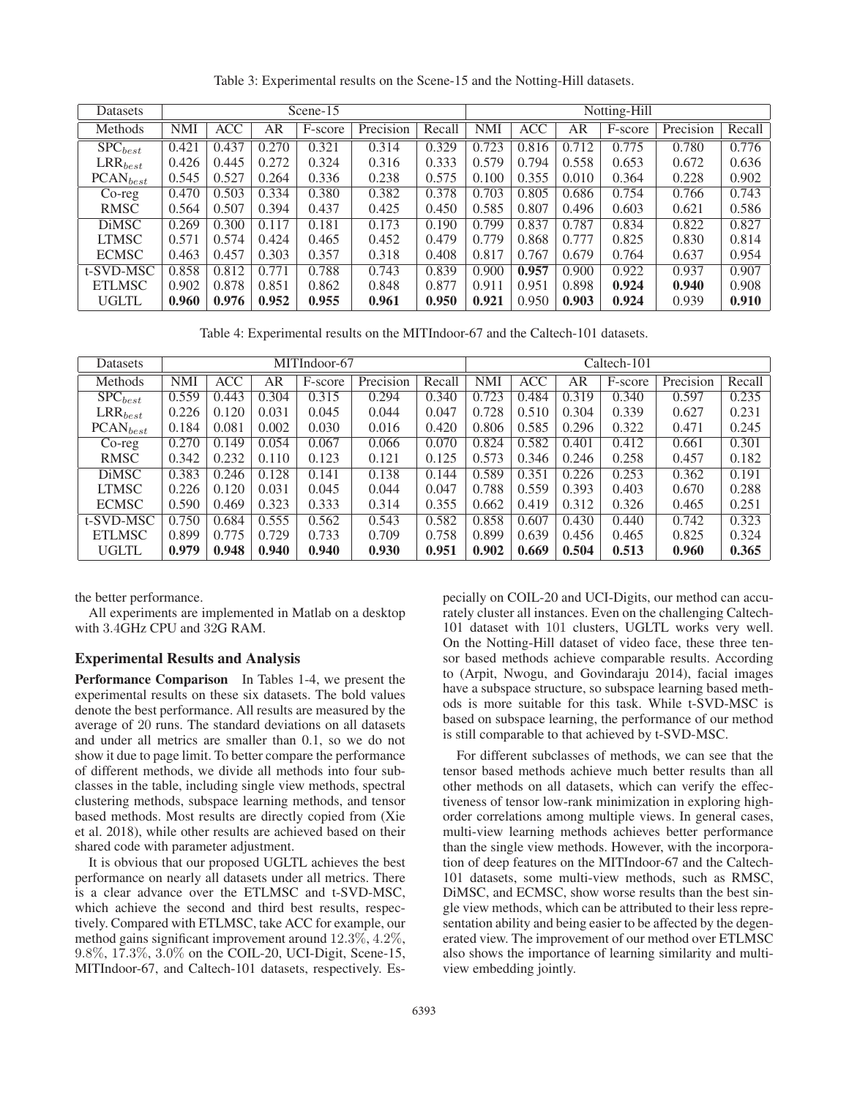| Datasets              | Scene-15   |            |       |         |           |        | Notting-Hill |            |       |         |           |        |
|-----------------------|------------|------------|-------|---------|-----------|--------|--------------|------------|-------|---------|-----------|--------|
| Methods               | <b>NMI</b> | <b>ACC</b> | AR    | F-score | Precision | Recall | <b>NMI</b>   | <b>ACC</b> | AR    | F-score | Precision | Recall |
| $SPC_{best}$          | 0.421      | 0.437      | 0.270 | 0.321   | 0.314     | 0.329  | 0.723        | 0.816      | 0.712 | 0.775   | 0.780     | 0.776  |
| $\mathrm{LRR}_{best}$ | 0.426      | 0.445      | 0.272 | 0.324   | 0.316     | 0.333  | 0.579        | 0.794      | 0.558 | 0.653   | 0.672     | 0.636  |
| $PCAN_{best}$         | 0.545      | 0.527      | 0.264 | 0.336   | 0.238     | 0.575  | 0.100        | 0.355      | 0.010 | 0.364   | 0.228     | 0.902  |
| $Co-reg$              | 0.470      | 0.503      | 0.334 | 0.380   | 0.382     | 0.378  | 0.703        | 0.805      | 0.686 | 0.754   | 0.766     | 0.743  |
| RMSC                  | 0.564      | 0.507      | 0.394 | 0.437   | 0.425     | 0.450  | 0.585        | 0.807      | 0.496 | 0.603   | 0.621     | 0.586  |
| <b>DiMSC</b>          | 0.269      | 0.300      | 0.117 | 0.181   | 0.173     | 0.190  | 0.799        | 0.837      | 0.787 | 0.834   | 0.822     | 0.827  |
| <b>LTMSC</b>          | 0.571      | 0.574      | 0.424 | 0.465   | 0.452     | 0.479  | 0.779        | 0.868      | 0.777 | 0.825   | 0.830     | 0.814  |
| <b>ECMSC</b>          | 0.463      | 0.457      | 0.303 | 0.357   | 0.318     | 0.408  | 0.817        | 0.767      | 0.679 | 0.764   | 0.637     | 0.954  |
| t-SVD-MSC             | 0.858      | 0.812      | 0.771 | 0.788   | 0.743     | 0.839  | 0.900        | 0.957      | 0.900 | 0.922   | 0.937     | 0.907  |
| <b>ETLMSC</b>         | 0.902      | 0.878      | 0.851 | 0.862   | 0.848     | 0.877  | 0.911        | 0.951      | 0.898 | 0.924   | 0.940     | 0.908  |
| <b>UGLTL</b>          | 0.960      | 0.976      | 0.952 | 0.955   | 0.961     | 0.950  | 0.921        | 0.950      | 0.903 | 0.924   | 0.939     | 0.910  |

Table 3: Experimental results on the Scene-15 and the Notting-Hill datasets.

Table 4: Experimental results on the MITIndoor-67 and the Caltech-101 datasets.

| Datasets              | MITIndoor-67 |       |       |         |           |        | Caltech-101 |            |       |         |           |        |
|-----------------------|--------------|-------|-------|---------|-----------|--------|-------------|------------|-------|---------|-----------|--------|
| Methods               | <b>NMI</b>   | ACC   | AR    | F-score | Precision | Recall | <b>NMI</b>  | <b>ACC</b> | AR    | F-score | Precision | Recall |
| $\mathrm{SPC}_{best}$ | 0.559        | 0.443 | 0.304 | 0.315   | 0.294     | 0.340  | 0.723       | 0.484      | 0.319 | 0.340   | 0.597     | 0.235  |
| $\text{LRR}_{best}$   | 0.226        | 0.120 | 0.031 | 0.045   | 0.044     | 0.047  | 0.728       | 0.510      | 0.304 | 0.339   | 0.627     | 0.231  |
| $PCAN_{best}$         | 0.184        | 0.081 | 0.002 | 0.030   | 0.016     | 0.420  | 0.806       | 0.585      | 0.296 | 0.322   | 0.471     | 0.245  |
| $Co-reg$              | 0.270        | 0.149 | 0.054 | 0.067   | 0.066     | 0.070  | 0.824       | 0.582      | 0.401 | 0.412   | 0.661     | 0.301  |
| RMSC                  | 0.342        | 0.232 | 0.110 | 0.123   | 0.121     | 0.125  | 0.573       | 0.346      | 0.246 | 0.258   | 0.457     | 0.182  |
| <b>DiMSC</b>          | 0.383        | 0.246 | 0.128 | 0.141   | 0.138     | 0.144  | 0.589       | 0.351      | 0.226 | 0.253   | 0.362     | 0.191  |
| <b>LTMSC</b>          | 0.226        | 0.120 | 0.031 | 0.045   | 0.044     | 0.047  | 0.788       | 0.559      | 0.393 | 0.403   | 0.670     | 0.288  |
| <b>ECMSC</b>          | 0.590        | 0.469 | 0.323 | 0.333   | 0.314     | 0.355  | 0.662       | 0.419      | 0.312 | 0.326   | 0.465     | 0.251  |
| t-SVD-MSC             | 0.750        | 0.684 | 0.555 | 0.562   | 0.543     | 0.582  | 0.858       | 0.607      | 0.430 | 0.440   | 0.742     | 0.323  |
| <b>ETLMSC</b>         | 0.899        | 0.775 | 0.729 | 0.733   | 0.709     | 0.758  | 0.899       | 0.639      | 0.456 | 0.465   | 0.825     | 0.324  |
| <b>UGLTL</b>          | 0.979        | 0.948 | 0.940 | 0.940   | 0.930     | 0.951  | 0.902       | 0.669      | 0.504 | 0.513   | 0.960     | 0.365  |

the better performance.

All experiments are implemented in Matlab on a desktop with 3.4GHz CPU and 32G RAM.

## Experimental Results and Analysis

Performance Comparison In Tables 1-4, we present the experimental results on these six datasets. The bold values denote the best performance. All results are measured by the average of 20 runs. The standard deviations on all datasets and under all metrics are smaller than 0.1, so we do not show it due to page limit. To better compare the performance of different methods, we divide all methods into four subclasses in the table, including single view methods, spectral clustering methods, subspace learning methods, and tensor based methods. Most results are directly copied from (Xie et al. 2018), while other results are achieved based on their shared code with parameter adjustment.

It is obvious that our proposed UGLTL achieves the best performance on nearly all datasets under all metrics. There is a clear advance over the ETLMSC and t-SVD-MSC, which achieve the second and third best results, respectively. Compared with ETLMSC, take ACC for example, our method gains significant improvement around 12.3%, 4.2%, 9.8%, 17.3%, 3.0% on the COIL-20, UCI-Digit, Scene-15, MITIndoor-67, and Caltech-101 datasets, respectively. Especially on COIL-20 and UCI-Digits, our method can accurately cluster all instances. Even on the challenging Caltech-101 dataset with 101 clusters, UGLTL works very well. On the Notting-Hill dataset of video face, these three tensor based methods achieve comparable results. According to (Arpit, Nwogu, and Govindaraju 2014), facial images have a subspace structure, so subspace learning based methods is more suitable for this task. While t-SVD-MSC is based on subspace learning, the performance of our method is still comparable to that achieved by t-SVD-MSC.

For different subclasses of methods, we can see that the tensor based methods achieve much better results than all other methods on all datasets, which can verify the effectiveness of tensor low-rank minimization in exploring highorder correlations among multiple views. In general cases, multi-view learning methods achieves better performance than the single view methods. However, with the incorporation of deep features on the MITIndoor-67 and the Caltech-101 datasets, some multi-view methods, such as RMSC, DiMSC, and ECMSC, show worse results than the best single view methods, which can be attributed to their less representation ability and being easier to be affected by the degenerated view. The improvement of our method over ETLMSC also shows the importance of learning similarity and multiview embedding jointly.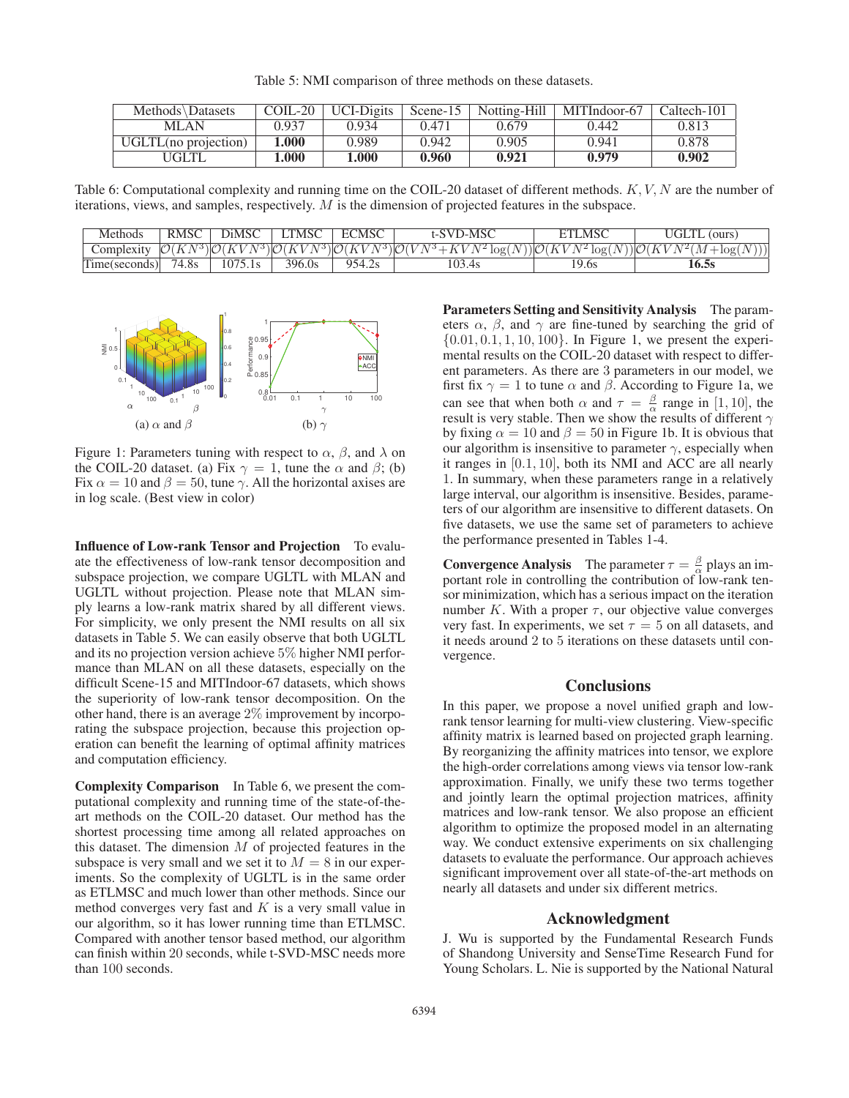Table 5: NMI comparison of three methods on these datasets.

| Methods\Datasets     | $COLL-20$ | <b>UCI-Digits</b> | Scene-15 | Notting-Hill | MITIndoor-67 | Caltech-101 |
|----------------------|-----------|-------------------|----------|--------------|--------------|-------------|
| MLAN                 | 0.937     | 0.934             | 0.471    | 0.679        | 0.442        | 0.813       |
| UGLTL(no projection) | 1.000     | 0.989             | 0.942    | 0.905        | 0.941        | 0.878       |
| UGLTL                | 000.      | .000              | 0.960    | 0.921        | 0.979        | 0.902       |

Table 6: Computational complexity and running time on the COIL-20 dataset of different methods.  $K, V, N$  are the number of iterations, views, and samples, respectively. M is the dimension of projected features in the subspace.

| <b>Methods</b>          | RMSC  | diMSC   | TMSC   | :'MSC | -SVD-MSC                                                                                                                                                     | MSC<br>F7 | ours) |
|-------------------------|-------|---------|--------|-------|--------------------------------------------------------------------------------------------------------------------------------------------------------------|-----------|-------|
| $\mathcal{L}$ omplexity |       |         |        |       | $\mathcal{O}(KN^3)\mathcal{O}(KVN^3)\mathcal{O}(KVN^3)\mathcal{O}(KVN^3)\mathcal{O}(VN^3+KVN^2\log(N))\mathcal{O}(KVN^2\log(N))\mathcal{O}(KVN^2(M+\log(N))$ |           |       |
| Time(seconds)           | 74.8s | 1075.1s | 396.0s | 954   | 103.4s                                                                                                                                                       | 2.08      | 16.58 |



Figure 1: Parameters tuning with respect to  $\alpha$ ,  $\beta$ , and  $\lambda$  on the COIL-20 dataset. (a) Fix  $\gamma = 1$ , tune the  $\alpha$  and  $\beta$ ; (b) Fix  $\alpha = 10$  and  $\beta = 50$ , tune  $\gamma$ . All the horizontal axises are in log scale. (Best view in color)

Influence of Low-rank Tensor and Projection To evaluate the effectiveness of low-rank tensor decomposition and subspace projection, we compare UGLTL with MLAN and UGLTL without projection. Please note that MLAN simply learns a low-rank matrix shared by all different views. For simplicity, we only present the NMI results on all six datasets in Table 5. We can easily observe that both UGLTL and its no projection version achieve 5% higher NMI performance than MLAN on all these datasets, especially on the difficult Scene-15 and MITIndoor-67 datasets, which shows the superiority of low-rank tensor decomposition. On the other hand, there is an average 2% improvement by incorporating the subspace projection, because this projection operation can benefit the learning of optimal affinity matrices and computation efficiency.

Complexity Comparison In Table 6, we present the computational complexity and running time of the state-of-theart methods on the COIL-20 dataset. Our method has the shortest processing time among all related approaches on this dataset. The dimension  $M$  of projected features in the subspace is very small and we set it to  $M = 8$  in our experiments. So the complexity of UGLTL is in the same order as ETLMSC and much lower than other methods. Since our method converges very fast and  $K$  is a very small value in our algorithm, so it has lower running time than ETLMSC. Compared with another tensor based method, our algorithm can finish within 20 seconds, while t-SVD-MSC needs more than 100 seconds.

Parameters Setting and Sensitivity Analysis The parameters  $\alpha$ ,  $\beta$ , and  $\gamma$  are fine-tuned by searching the grid of  $\{0.01, 0.1, 1, 10, 100\}$ . In Figure 1, we present the experimental results on the COIL-20 dataset with respect to different parameters. As there are 3 parameters in our model, we first fix  $\gamma = 1$  to tune  $\alpha$  and  $\beta$ . According to Figure 1a, we can see that when both  $\alpha$  and  $\tau = \frac{\beta}{\alpha}$  range in [1, 10], the result is very stable. Then we show the results of different  $\gamma$ by fixing  $\alpha = 10$  and  $\beta = 50$  in Figure 1b. It is obvious that our algorithm is insensitive to parameter  $\gamma$ , especially when it ranges in [0.1, 10], both its NMI and ACC are all nearly 1. In summary, when these parameters range in a relatively large interval, our algorithm is insensitive. Besides, parameters of our algorithm are insensitive to different datasets. On five datasets, we use the same set of parameters to achieve the performance presented in Tables 1-4.

**Convergence Analysis** The parameter  $\tau = \frac{\beta}{\alpha}$  plays an important role in controlling the contribution of low-rank tensor minimization, which has a serious impact on the iteration number K. With a proper  $\tau$ , our objective value converges very fast. In experiments, we set  $\tau = 5$  on all datasets, and it needs around 2 to 5 iterations on these datasets until convergence.

# **Conclusions**

In this paper, we propose a novel unified graph and lowrank tensor learning for multi-view clustering. View-specific affinity matrix is learned based on projected graph learning. By reorganizing the affinity matrices into tensor, we explore the high-order correlations among views via tensor low-rank approximation. Finally, we unify these two terms together and jointly learn the optimal projection matrices, affinity matrices and low-rank tensor. We also propose an efficient algorithm to optimize the proposed model in an alternating way. We conduct extensive experiments on six challenging datasets to evaluate the performance. Our approach achieves significant improvement over all state-of-the-art methods on nearly all datasets and under six different metrics.

# Acknowledgment

J. Wu is supported by the Fundamental Research Funds of Shandong University and SenseTime Research Fund for Young Scholars. L. Nie is supported by the National Natural